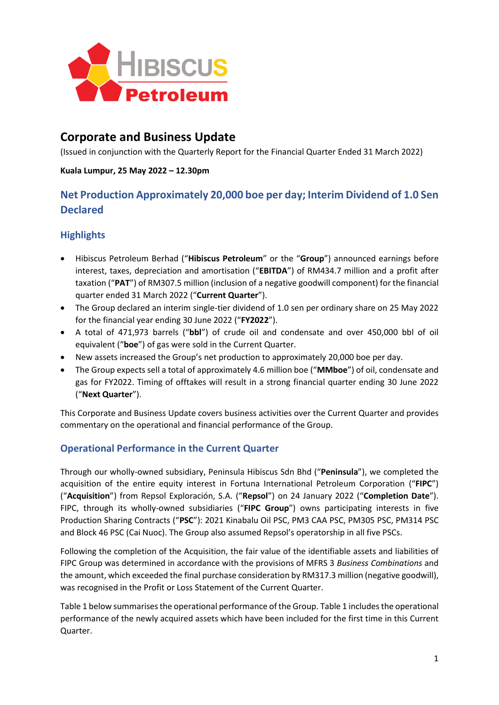

# **Corporate and Business Update**

(Issued in conjunction with the Quarterly Report for the Financial Quarter Ended 31 March 2022)

#### **Kuala Lumpur, 25 May 2022 – 12.30pm**

# **Net Production Approximately 20,000 boe per day; Interim Dividend of 1.0 Sen Declared**

# **Highlights**

- Hibiscus Petroleum Berhad ("**Hibiscus Petroleum**" or the "**Group**") announced earnings before interest, taxes, depreciation and amortisation ("**EBITDA**") of RM434.7 million and a profit after taxation ("**PAT**") of RM307.5 million (inclusion of a negative goodwill component) for the financial quarter ended 31 March 2022 ("**Current Quarter**").
- The Group declared an interim single-tier dividend of 1.0 sen per ordinary share on 25 May 2022 for the financial year ending 30 June 2022 ("**FY2022**").
- A total of 471,973 barrels ("**bbl**") of crude oil and condensate and over 450,000 bbl of oil equivalent ("**boe**") of gas were sold in the Current Quarter.
- New assets increased the Group's net production to approximately 20,000 boe per day.
- The Group expects sell a total of approximately 4.6 million boe ("**MMboe**") of oil, condensate and gas for FY2022. Timing of offtakes will result in a strong financial quarter ending 30 June 2022 ("**Next Quarter**").

This Corporate and Business Update covers business activities over the Current Quarter and provides commentary on the operational and financial performance of the Group.

# **Operational Performance in the Current Quarter**

Through our wholly-owned subsidiary, Peninsula Hibiscus Sdn Bhd ("**Peninsula**"), we completed the acquisition of the entire equity interest in Fortuna International Petroleum Corporation ("**FIPC**") ("**Acquisition**") from Repsol Exploración, S.A. ("**Repsol**") on 24 January 2022 ("**Completion Date**"). FIPC, through its wholly-owned subsidiaries ("**FIPC Group**") owns participating interests in five Production Sharing Contracts ("**PSC**"): 2021 Kinabalu Oil PSC, PM3 CAA PSC, PM305 PSC, PM314 PSC and Block 46 PSC (Cai Nuoc). The Group also assumed Repsol's operatorship in all five PSCs.

Following the completion of the Acquisition, the fair value of the identifiable assets and liabilities of FIPC Group was determined in accordance with the provisions of MFRS 3 *Business Combinations* and the amount, which exceeded the final purchase consideration by RM317.3 million (negative goodwill), was recognised in the Profit or Loss Statement of the Current Quarter.

Table 1 below summarises the operational performance of the Group. Table 1 includesthe operational performance of the newly acquired assets which have been included for the first time in this Current Quarter.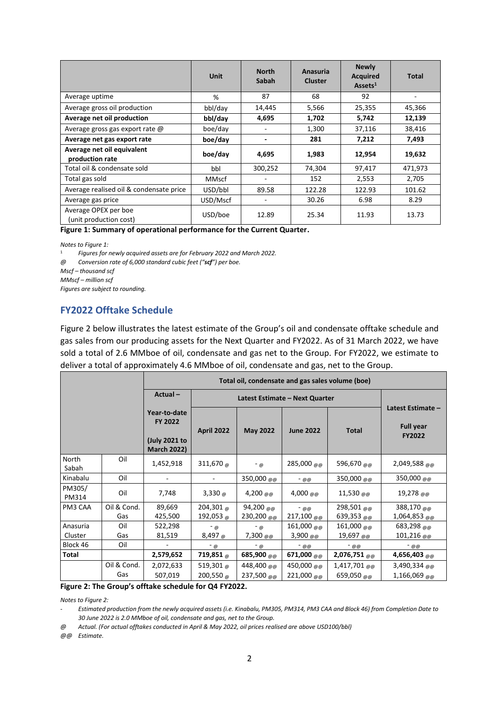|                                                | Unit         | <b>North</b><br>Sabah    | Anasuria<br><b>Cluster</b> | <b>Newly</b><br><b>Acquired</b><br>$\text{Assets}^1$ | Total   |
|------------------------------------------------|--------------|--------------------------|----------------------------|------------------------------------------------------|---------|
| Average uptime                                 | %            | 87                       | 68                         | 92                                                   |         |
| Average gross oil production                   | bbl/day      | 14,445                   | 5,566                      | 25,355                                               | 45,366  |
| Average net oil production                     | bbl/day      | 4,695                    | 1,702                      | 5,742                                                | 12,139  |
| Average gross gas export rate @                | boe/day      |                          | 1,300                      | 37,116                                               | 38,416  |
| Average net gas export rate                    | boe/day      |                          | 281                        | 7,212                                                | 7,493   |
| Average net oil equivalent<br>production rate  | boe/day      | 4,695                    | 1,983                      | 12,954                                               | 19,632  |
| Total oil & condensate sold                    | bbl          | 300,252                  | 74,304                     | 97,417                                               | 471,973 |
| Total gas sold                                 | <b>MMscf</b> | $\overline{\phantom{a}}$ | 152                        | 2,553                                                | 2,705   |
| Average realised oil & condensate price        | USD/bbl      | 89.58                    | 122.28                     | 122.93                                               | 101.62  |
| Average gas price                              | USD/Mscf     | ٠                        | 30.26                      | 6.98                                                 | 8.29    |
| Average OPEX per boe<br>(unit production cost) | USD/boe      | 12.89                    | 25.34                      | 11.93                                                | 13.73   |

**Figure 1: Summary of operational performance for the Current Quarter.**

*Notes to Figure 1:*

<sup>1</sup> *Figures for newly acquired assets are for February 2022 and March 2022.*

*@ Conversion rate of 6,000 standard cubic feet ("scf") per boe.*

*Mscf – thousand scf*

*MMscf – million scf*

*Figures are subject to rounding.*

#### **FY2022 Offtake Schedule**

Figure 2 below illustrates the latest estimate of the Group's oil and condensate offtake schedule and gas sales from our producing assets for the Next Quarter and FY2022. As of 31 March 2022, we have sold a total of 2.6 MMboe of oil, condensate and gas net to the Group. For FY2022, we estimate to deliver a total of approximately 4.6 MMboe of oil, condensate and gas, net to the Group.

|                 |             | Total oil, condensate and gas sales volume (boe)                      |                    |                                |                               |                              |                                                        |  |
|-----------------|-------------|-----------------------------------------------------------------------|--------------------|--------------------------------|-------------------------------|------------------------------|--------------------------------------------------------|--|
|                 |             | $Actual -$                                                            |                    | Latest Estimate – Next Quarter |                               |                              |                                                        |  |
|                 |             | Year-to-date<br><b>FY 2022</b><br>(July 2021 to<br><b>March 2022)</b> | <b>April 2022</b>  | <b>May 2022</b>                | <b>June 2022</b>              | <b>Total</b>                 | Latest Estimate -<br><b>Full year</b><br><b>FY2022</b> |  |
| North<br>Sabah  | Oil         | 1,452,918                                                             | 311,670 $_{\odot}$ | $-\omega$                      | 285,000 $_{\text{m}}$         | 596,670 $_{\text{m}}$        | $2,049,588$ @ @                                        |  |
| Kinabalu        | Oil         |                                                                       |                    | 350,000 @@                     | - @@                          | 350,000 @@                   | 350,000 @@                                             |  |
| PM305/<br>PM314 | Oil         | 7,748                                                                 | 3,330 $\omega$     | 4,200 $_{\text{QCD}}$          | 4,000 $_{\tiny{\text{QCD}}}$  | 11,530 $_{\text{m}}$         | 19,278 $_{\text{\tiny QCD}}$                           |  |
| PM3 CAA         | Oil & Cond. | 89,669                                                                | 204,301 @          | 94,200 @@                      | $-$ @ @                       | 298,501 @ @                  | 388,170 @@                                             |  |
|                 | Gas         | 425,500                                                               | 192,053 $_{\odot}$ | 230,200 @@                     | 217,100 $_{\text{@}}$         | 639,353 $_{00}$              | 1,064,853 $_{\text{m}}$                                |  |
| Anasuria        | Oil         | 522,298                                                               | $-$ @              | $-\omega$                      | 161,000 @ @                   | $161,000$ @ @                | 683,298 @ @                                            |  |
| Cluster         | Gas         | 81,519                                                                | 8,497 $_{\odot}$   | 7,300 $_{\text{m}}$            | 3,900 $_{\text{\tiny{QCD}}}$  | 19,697 $_{\text{\tiny QCD}}$ | 101,216 $_{\text{\tiny QCD}}$                          |  |
| Block 46        | Oil         |                                                                       | $-\omega$          | $-\omega$                      | $-$ @ @                       | - @@                         | - @@                                                   |  |
| Total           |             | 2,579,652                                                             | 719,851 @          | 685,900 $_{\text{O}}$          | 671,000 $_{\text{\tiny QCD}}$ | $2,076,751$ @ @              | 4,656,403 $_{\text{QCD}}$                              |  |
|                 | Oil & Cond. | 2,072,633                                                             | 519,301 $_{\odot}$ | 448,400 @@                     | 450,000 $_{\text{m}}$         | $1,417,701$ @ @              | 3,490,334 @ @                                          |  |
|                 | Gas         | 507,019                                                               | 200,550 $_{\odot}$ | 237,500 $_{\text{m}}$          | 221,000 @@                    | 659,050 @@                   | $1,166,069$ @ @                                        |  |

**Figure 2: The Group's offtake schedule for Q4 FY2022.**

*Notes to Figure 2:*

- *Estimated production from the newly acquired assets (i.e. Kinabalu, PM305, PM314, PM3 CAA and Block 46) from Completion Date to 30 June 2022 is 2.0 MMboe of oil, condensate and gas, net to the Group.*

*@ Actual. (For actual offtakes conducted in April & May 2022, oil prices realised are above USD100/bbl)*

*@@ Estimate.*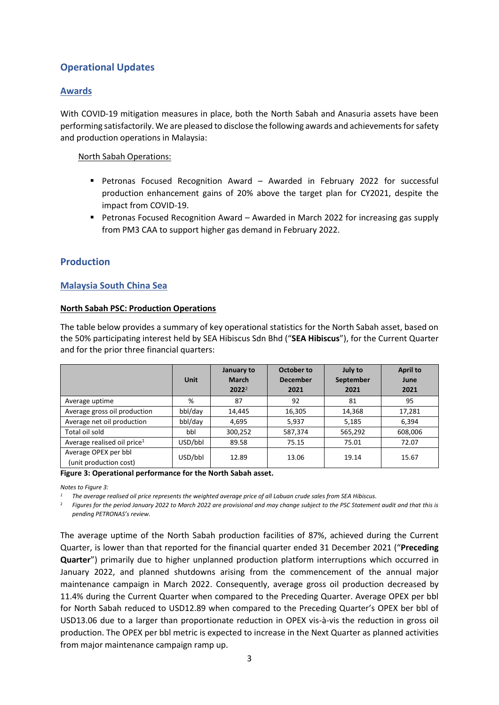# **Operational Updates**

## **Awards**

With COVID-19 mitigation measures in place, both the North Sabah and Anasuria assets have been performing satisfactorily. We are pleased to disclose the following awards and achievements for safety and production operations in Malaysia:

North Sabah Operations:

- **•** Petronas Focused Recognition Award Awarded in February 2022 for successful production enhancement gains of 20% above the target plan for CY2021, despite the impact from COVID-19.
- Petronas Focused Recognition Award Awarded in March 2022 for increasing gas supply from PM3 CAA to support higher gas demand in February 2022.

## **Production**

## **Malaysia South China Sea**

#### **North Sabah PSC: Production Operations**

The table below provides a summary of key operational statistics for the North Sabah asset, based on the 50% participating interest held by SEA Hibiscus Sdn Bhd ("**SEA Hibiscus**"), for the Current Quarter and for the prior three financial quarters:

|                                                | <b>Unit</b> | January to<br><b>March</b><br>$2022^2$ | October to<br><b>December</b><br>2021 | July to<br>September<br>2021 | <b>April to</b><br>June<br>2021 |
|------------------------------------------------|-------------|----------------------------------------|---------------------------------------|------------------------------|---------------------------------|
| Average uptime                                 | %           | 87                                     | 92                                    | 81                           | 95                              |
| Average gross oil production                   | bbl/day     | 14,445                                 | 16,305                                | 14,368                       | 17,281                          |
| Average net oil production                     | bbl/day     | 4,695                                  | 5,937                                 | 5,185                        | 6,394                           |
| Total oil sold                                 | bbl         | 300,252                                | 587,374                               | 565,292                      | 608,006                         |
| Average realised oil price <sup>1</sup>        | USD/bbl     | 89.58                                  | 75.15                                 | 75.01                        | 72.07                           |
| Average OPEX per bbl<br>(unit production cost) | USD/bbl     | 12.89                                  | 13.06                                 | 19.14                        | 15.67                           |

#### <span id="page-2-0"></span>**Figure 3: Operational performance for the North Sabah asset.**

*Notes to [Figure 3:](#page-2-0)*

*<sup>1</sup> The average realised oil price represents the weighted average price of all Labuan crude sales from SEA Hibiscus.*

<sup>2</sup> *Figures for the period January 2022 to March 2022 are provisional and may change subject to the PSC Statement audit and that this is pending PETRONAS's review.*

The average uptime of the North Sabah production facilities of 87%, achieved during the Current Quarter, is lower than that reported for the financial quarter ended 31 December 2021 ("**Preceding Quarter**") primarily due to higher unplanned production platform interruptions which occurred in January 2022, and planned shutdowns arising from the commencement of the annual major maintenance campaign in March 2022. Consequently, average gross oil production decreased by 11.4% during the Current Quarter when compared to the Preceding Quarter. Average OPEX per bbl for North Sabah reduced to USD12.89 when compared to the Preceding Quarter's OPEX ber bbl of USD13.06 due to a larger than proportionate reduction in OPEX vis-à-vis the reduction in gross oil production. The OPEX per bbl metric is expected to increase in the Next Quarter as planned activities from major maintenance campaign ramp up.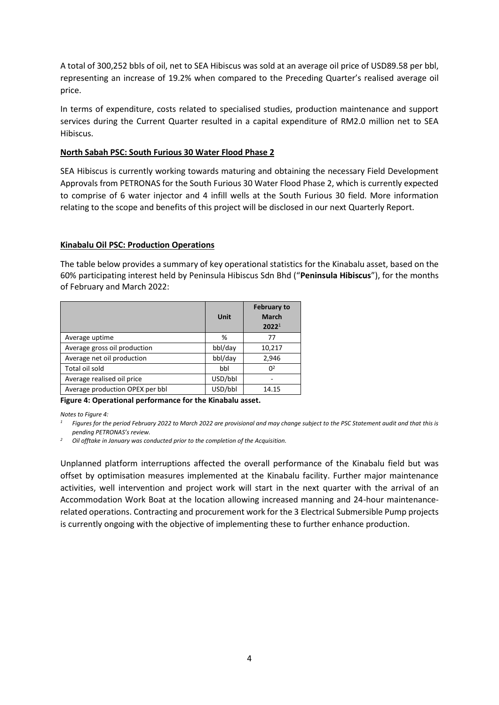A total of 300,252 bbls of oil, net to SEA Hibiscus was sold at an average oil price of USD89.58 per bbl, representing an increase of 19.2% when compared to the Preceding Quarter's realised average oil price.

In terms of expenditure, costs related to specialised studies, production maintenance and support services during the Current Quarter resulted in a capital expenditure of RM2.0 million net to SEA Hibiscus.

#### **North Sabah PSC: South Furious 30 Water Flood Phase 2**

SEA Hibiscus is currently working towards maturing and obtaining the necessary Field Development Approvals from PETRONAS for the South Furious 30 Water Flood Phase 2, which is currently expected to comprise of 6 water injector and 4 infill wells at the South Furious 30 field. More information relating to the scope and benefits of this project will be disclosed in our next Quarterly Report.

#### **Kinabalu Oil PSC: Production Operations**

The table below provides a summary of key operational statistics for the Kinabalu asset, based on the 60% participating interest held by Peninsula Hibiscus Sdn Bhd ("**Peninsula Hibiscus**"), for the months of February and March 2022:

|                                 | <b>Unit</b> | <b>February to</b><br><b>March</b><br>2022 <sup>1</sup> |
|---------------------------------|-------------|---------------------------------------------------------|
| Average uptime                  | %           | 77                                                      |
| Average gross oil production    | bbl/day     | 10,217                                                  |
| Average net oil production      | bbl/day     | 2,946                                                   |
| Total oil sold                  | bbl         | $\Omega^2$                                              |
| Average realised oil price      | USD/bbl     |                                                         |
| Average production OPEX per bbl | USD/bbl     | 14.15                                                   |

<span id="page-3-0"></span>**Figure 4: Operational performance for the Kinabalu asset.**

*Notes to [Figure 4:](#page-3-0)*

*<sup>1</sup> Figures for the period February 2022 to March 2022 are provisional and may change subject to the PSC Statement audit and that this is pending PETRONAS's review.* 

*<sup>2</sup> Oil offtake in January was conducted prior to the completion of the Acquisition.*

Unplanned platform interruptions affected the overall performance of the Kinabalu field but was offset by optimisation measures implemented at the Kinabalu facility. Further major maintenance activities, well intervention and project work will start in the next quarter with the arrival of an Accommodation Work Boat at the location allowing increased manning and 24-hour maintenancerelated operations. Contracting and procurement work for the 3 Electrical Submersible Pump projects is currently ongoing with the objective of implementing these to further enhance production.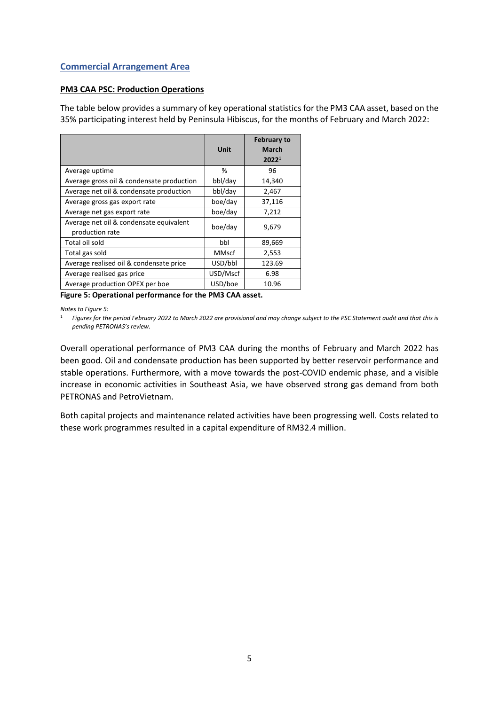## **Commercial Arrangement Area**

#### **PM3 CAA PSC: Production Operations**

The table below provides a summary of key operational statistics for the PM3 CAA asset, based on the 35% participating interest held by Peninsula Hibiscus, for the months of February and March 2022:

|                                                            | Unit         | <b>February to</b><br><b>March</b><br>2022 <sup>1</sup> |
|------------------------------------------------------------|--------------|---------------------------------------------------------|
| Average uptime                                             | %            | 96                                                      |
| Average gross oil & condensate production                  | bbl/day      | 14,340                                                  |
| Average net oil & condensate production                    | bbl/day      | 2,467                                                   |
| Average gross gas export rate                              | boe/day      | 37,116                                                  |
| Average net gas export rate                                | boe/day      | 7,212                                                   |
| Average net oil & condensate equivalent<br>production rate | boe/day      | 9,679                                                   |
| Total oil sold                                             | bbl          | 89,669                                                  |
| Total gas sold                                             | <b>MMscf</b> | 2,553                                                   |
| Average realised oil & condensate price                    | USD/bbl      | 123.69                                                  |
| Average realised gas price                                 | USD/Mscf     | 6.98                                                    |
| Average production OPEX per boe                            | USD/boe      | 10.96                                                   |

<span id="page-4-0"></span>**Figure 5: Operational performance for the PM3 CAA asset.**

*Notes t[o Figure 5:](#page-4-0)*

<sup>1</sup> *Figures for the period February 2022 to March 2022 are provisional and may change subject to the PSC Statement audit and that this is pending PETRONAS's review.*

Overall operational performance of PM3 CAA during the months of February and March 2022 has been good. Oil and condensate production has been supported by better reservoir performance and stable operations. Furthermore, with a move towards the post-COVID endemic phase, and a visible increase in economic activities in Southeast Asia, we have observed strong gas demand from both PETRONAS and PetroVietnam.

Both capital projects and maintenance related activities have been progressing well. Costs related to these work programmes resulted in a capital expenditure of RM32.4 million.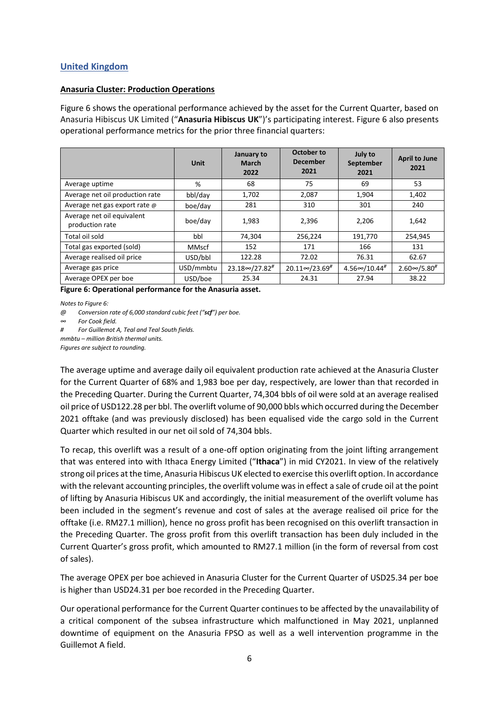## **United Kingdom**

#### **Anasuria Cluster: Production Operations**

[Figure 6](#page-5-0) shows the operational performance achieved by the asset for the Current Quarter, based on Anasuria Hibiscus UK Limited ("**Anasuria Hibiscus UK**")'s participating interest. [Figure 6](#page-5-0) also presents operational performance metrics for the prior three financial quarters:

|                                               | <b>Unit</b>  | January to<br><b>March</b><br>2022  | <b>October to</b><br><b>December</b><br>2021 | July to<br>September<br>2021       | <b>April to June</b><br>2021 |
|-----------------------------------------------|--------------|-------------------------------------|----------------------------------------------|------------------------------------|------------------------------|
| Average uptime                                | %            | 68                                  | 75                                           | 69                                 | 53                           |
| Average net oil production rate               | bbl/day      | 1,702                               | 2,087                                        | 1,904                              | 1,402                        |
| Average net gas export rate @                 | boe/day      | 281                                 | 310                                          | 301                                | 240                          |
| Average net oil equivalent<br>production rate | boe/day      | 1,983                               | 2,396                                        | 2,206                              | 1,642                        |
| Total oil sold                                | bbl          | 74,304                              | 256,224                                      | 191,770                            | 254,945                      |
| Total gas exported (sold)                     | <b>MMscf</b> | 152                                 | 171                                          | 166                                | 131                          |
| Average realised oil price                    | USD/bbl      | 122.28                              | 72.02                                        | 76.31                              | 62.67                        |
| Average gas price                             | USD/mmbtu    | $23.18 \infty / 27.82$ <sup>#</sup> | $20.11 \infty / 23.69$ <sup>#</sup>          | $4.56 \infty / 10.44$ <sup>#</sup> | $2.60 \infty / 5.80$ #       |
| Average OPEX per boe                          | USD/boe      | 25.34                               | 24.31                                        | 27.94                              | 38.22                        |

<span id="page-5-0"></span>**Figure 6: Operational performance for the Anasuria asset.**

*Notes t[o Figure 6:](#page-5-0)*

*mmbtu – million British thermal units.*

*Figures are subject to rounding.*

The average uptime and average daily oil equivalent production rate achieved at the Anasuria Cluster for the Current Quarter of 68% and 1,983 boe per day, respectively, are lower than that recorded in the Preceding Quarter. During the Current Quarter, 74,304 bbls of oil were sold at an average realised oil price of USD122.28 per bbl. The overlift volume of 90,000 bbls which occurred during the December 2021 offtake (and was previously disclosed) has been equalised vide the cargo sold in the Current Quarter which resulted in our net oil sold of 74,304 bbls.

To recap, this overlift was a result of a one-off option originating from the joint lifting arrangement that was entered into with Ithaca Energy Limited ("**Ithaca**") in mid CY2021. In view of the relatively strong oil prices at the time, Anasuria Hibiscus UK elected to exercise this overlift option. In accordance with the relevant accounting principles, the overlift volume was in effect a sale of crude oil at the point of lifting by Anasuria Hibiscus UK and accordingly, the initial measurement of the overlift volume has been included in the segment's revenue and cost of sales at the average realised oil price for the offtake (i.e. RM27.1 million), hence no gross profit has been recognised on this overlift transaction in the Preceding Quarter. The gross profit from this overlift transaction has been duly included in the Current Quarter's gross profit, which amounted to RM27.1 million (in the form of reversal from cost of sales).

The average OPEX per boe achieved in Anasuria Cluster for the Current Quarter of USD25.34 per boe is higher than USD24.31 per boe recorded in the Preceding Quarter.

Our operational performance for the Current Quarter continues to be affected by the unavailability of a critical component of the subsea infrastructure which malfunctioned in May 2021, unplanned downtime of equipment on the Anasuria FPSO as well as a well intervention programme in the Guillemot A field.

*<sup>@</sup> Conversion rate of 6,000 standard cubic feet ("scf") per boe.*

*<sup>∞</sup> For Cook field.*

*<sup>#</sup> For Guillemot A, Teal and Teal South fields.*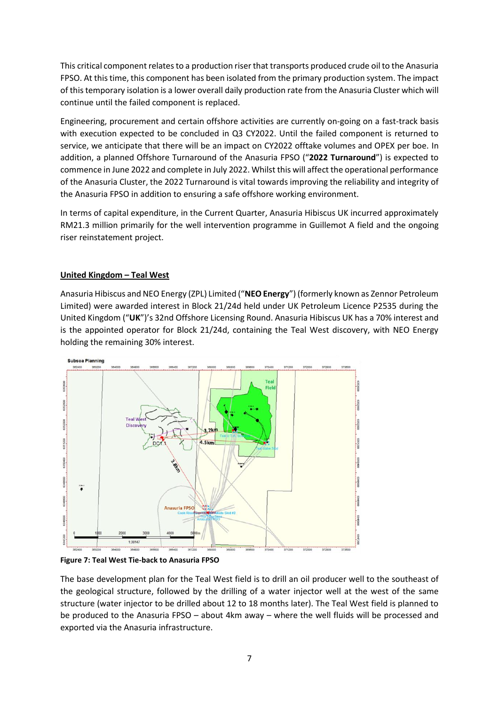This critical component relates to a production riser that transports produced crude oil to the Anasuria FPSO. At this time, this component has been isolated from the primary production system. The impact of this temporary isolation is a lower overall daily production rate from the Anasuria Cluster which will continue until the failed component is replaced.

Engineering, procurement and certain offshore activities are currently on-going on a fast-track basis with execution expected to be concluded in Q3 CY2022. Until the failed component is returned to service, we anticipate that there will be an impact on CY2022 offtake volumes and OPEX per boe. In addition, a planned Offshore Turnaround of the Anasuria FPSO ("**2022 Turnaround**") is expected to commence in June 2022 and complete in July 2022. Whilst this will affect the operational performance of the Anasuria Cluster, the 2022 Turnaround is vital towards improving the reliability and integrity of the Anasuria FPSO in addition to ensuring a safe offshore working environment.

In terms of capital expenditure, in the Current Quarter, Anasuria Hibiscus UK incurred approximately RM21.3 million primarily for the well intervention programme in Guillemot A field and the ongoing riser reinstatement project.

#### **United Kingdom – Teal West**

Anasuria Hibiscus and NEO Energy (ZPL) Limited ("**NEO Energy**") (formerly known as Zennor Petroleum Limited) were awarded interest in Block 21/24d held under UK Petroleum Licence P2535 during the United Kingdom ("**UK**")'s 32nd Offshore Licensing Round. Anasuria Hibiscus UK has a 70% interest and is the appointed operator for Block 21/24d, containing the Teal West discovery, with NEO Energy holding the remaining 30% interest.



**Figure 7: Teal West Tie-back to Anasuria FPSO**

The base development plan for the Teal West field is to drill an oil producer well to the southeast of the geological structure, followed by the drilling of a water injector well at the west of the same structure (water injector to be drilled about 12 to 18 months later). The Teal West field is planned to be produced to the Anasuria FPSO – about 4km away – where the well fluids will be processed and exported via the Anasuria infrastructure.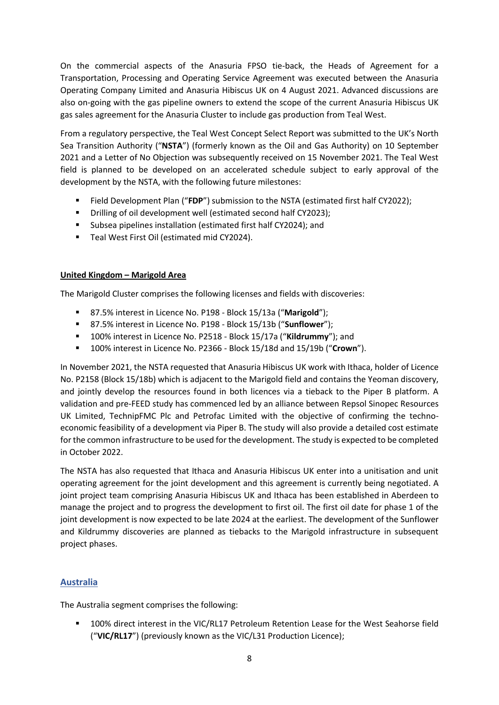On the commercial aspects of the Anasuria FPSO tie-back, the Heads of Agreement for a Transportation, Processing and Operating Service Agreement was executed between the Anasuria Operating Company Limited and Anasuria Hibiscus UK on 4 August 2021. Advanced discussions are also on-going with the gas pipeline owners to extend the scope of the current Anasuria Hibiscus UK gas sales agreement for the Anasuria Cluster to include gas production from Teal West.

From a regulatory perspective, the Teal West Concept Select Report was submitted to the UK's North Sea Transition Authority ("**NSTA**") (formerly known as the Oil and Gas Authority) on 10 September 2021 and a Letter of No Objection was subsequently received on 15 November 2021. The Teal West field is planned to be developed on an accelerated schedule subject to early approval of the development by the NSTA, with the following future milestones:

- Field Development Plan ("FDP") submission to the NSTA (estimated first half CY2022);
- Drilling of oil development well (estimated second half CY2023);
- Subsea pipelines installation (estimated first half CY2024); and
- Teal West First Oil (estimated mid CY2024).

## **United Kingdom – Marigold Area**

The Marigold Cluster comprises the following licenses and fields with discoveries:

- 87.5% interest in Licence No. P198 Block 15/13a ("**Marigold**");
- 87.5% interest in Licence No. P198 Block 15/13b ("**Sunflower**");
- 100% interest in Licence No. P2518 Block 15/17a ("**Kildrummy**"); and
- 100% interest in Licence No. P2366 Block 15/18d and 15/19b ("**Crown**").

In November 2021, the NSTA requested that Anasuria Hibiscus UK work with Ithaca, holder of Licence No. P2158 (Block 15/18b) which is adjacent to the Marigold field and contains the Yeoman discovery, and jointly develop the resources found in both licences via a tieback to the Piper B platform. A validation and pre-FEED study has commenced led by an alliance between Repsol Sinopec Resources UK Limited, TechnipFMC Plc and Petrofac Limited with the objective of confirming the technoeconomic feasibility of a development via Piper B. The study will also provide a detailed cost estimate for the common infrastructure to be used for the development. The study is expected to be completed in October 2022.

The NSTA has also requested that Ithaca and Anasuria Hibiscus UK enter into a unitisation and unit operating agreement for the joint development and this agreement is currently being negotiated. A joint project team comprising Anasuria Hibiscus UK and Ithaca has been established in Aberdeen to manage the project and to progress the development to first oil. The first oil date for phase 1 of the joint development is now expected to be late 2024 at the earliest. The development of the Sunflower and Kildrummy discoveries are planned as tiebacks to the Marigold infrastructure in subsequent project phases.

## **Australia**

The Australia segment comprises the following:

100% direct interest in the VIC/RL17 Petroleum Retention Lease for the West Seahorse field ("**VIC/RL17**") (previously known as the VIC/L31 Production Licence);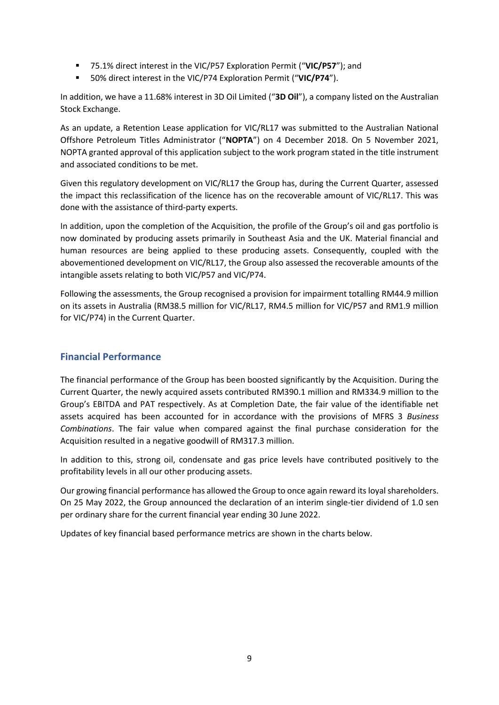- 75.1% direct interest in the VIC/P57 Exploration Permit ("VIC/P57"); and
- 50% direct interest in the VIC/P74 Exploration Permit ("VIC/P74").

In addition, we have a 11.68% interest in 3D Oil Limited ("**3D Oil**"), a company listed on the Australian Stock Exchange.

As an update, a Retention Lease application for VIC/RL17 was submitted to the Australian National Offshore Petroleum Titles Administrator ("**NOPTA**") on 4 December 2018. On 5 November 2021, NOPTA granted approval of this application subject to the work program stated in the title instrument and associated conditions to be met.

Given this regulatory development on VIC/RL17 the Group has, during the Current Quarter, assessed the impact this reclassification of the licence has on the recoverable amount of VIC/RL17. This was done with the assistance of third-party experts.

In addition, upon the completion of the Acquisition, the profile of the Group's oil and gas portfolio is now dominated by producing assets primarily in Southeast Asia and the UK. Material financial and human resources are being applied to these producing assets. Consequently, coupled with the abovementioned development on VIC/RL17, the Group also assessed the recoverable amounts of the intangible assets relating to both VIC/P57 and VIC/P74.

Following the assessments, the Group recognised a provision for impairment totalling RM44.9 million on its assets in Australia (RM38.5 million for VIC/RL17, RM4.5 million for VIC/P57 and RM1.9 million for VIC/P74) in the Current Quarter.

# **Financial Performance**

The financial performance of the Group has been boosted significantly by the Acquisition. During the Current Quarter, the newly acquired assets contributed RM390.1 million and RM334.9 million to the Group's EBITDA and PAT respectively. As at Completion Date, the fair value of the identifiable net assets acquired has been accounted for in accordance with the provisions of MFRS 3 *Business Combinations*. The fair value when compared against the final purchase consideration for the Acquisition resulted in a negative goodwill of RM317.3 million.

In addition to this, strong oil, condensate and gas price levels have contributed positively to the profitability levels in all our other producing assets.

Our growing financial performance has allowed the Group to once again reward its loyal shareholders. On 25 May 2022, the Group announced the declaration of an interim single-tier dividend of 1.0 sen per ordinary share for the current financial year ending 30 June 2022.

Updates of key financial based performance metrics are shown in the charts below.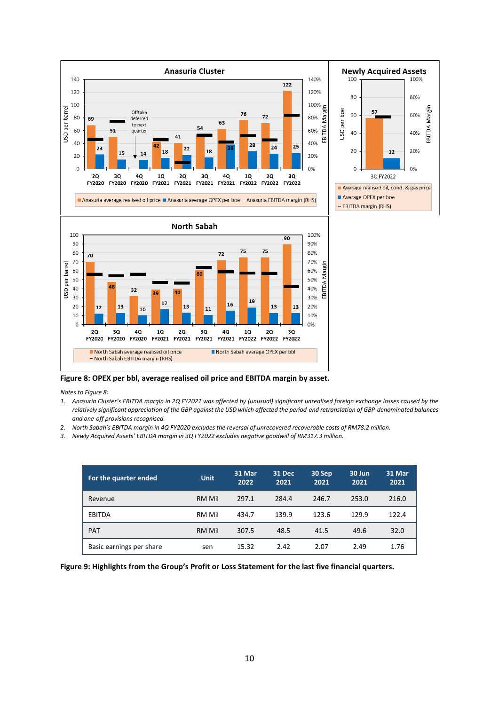

<span id="page-9-0"></span>**Figure 8: OPEX per bbl, average realised oil price and EBITDA margin by asset.**

*Notes t[o Figure 8:](#page-9-0)* 

- *1. Anasuria Cluster's EBITDA margin in 2Q FY2021 was affected by (unusual) significant unrealised foreign exchange losses caused by the relatively significant appreciation of the GBP against the USD which affected the period-end retranslation of GBP-denominated balances and one-off provisions recognised.*
- *2. North Sabah's EBITDA margin in 4Q FY2020 excludes the reversal of unrecovered recoverable costs of RM78.2 million.*
- *3. Newly Acquired Assets' EBITDA margin in 3Q FY2022 excludes negative goodwill of RM317.3 million.*

| For the quarter ended    | <b>Unit</b> | 31 Mar<br>2022 | <b>31 Dec</b><br>2021 | 30 Sep<br>2021 | 30 Jun<br>2021 | 31 Mar<br>2021 |
|--------------------------|-------------|----------------|-----------------------|----------------|----------------|----------------|
| Revenue                  | RM Mil      | 297.1          | 284.4                 | 246.7          | 253.0          | 216.0          |
| <b>EBITDA</b>            | RM Mil      | 434.7          | 139.9                 | 123.6          | 129.9          | 122.4          |
| <b>PAT</b>               | RM Mil      | 307.5          | 48.5                  | 41.5           | 49.6           | 32.0           |
| Basic earnings per share | sen         | 15.32          | 2.42                  | 2.07           | 2.49           | 1.76           |

**Figure 9: Highlights from the Group's Profit or Loss Statement for the last five financial quarters.**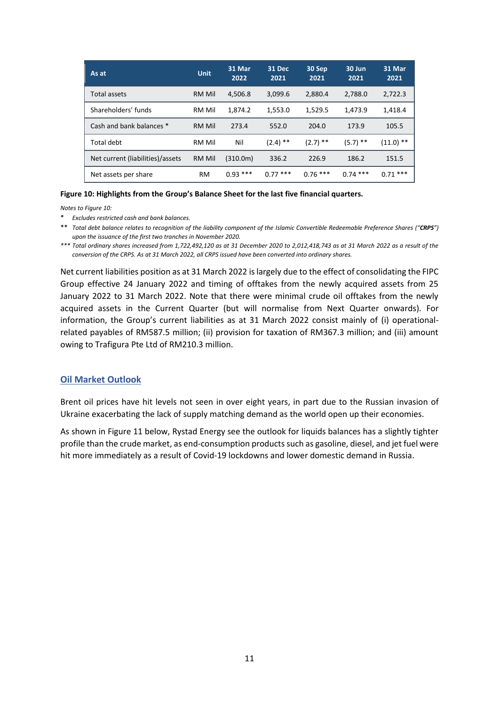| As at                            | <b>Unit</b>   | 31 Mar<br>2022 | <b>31 Dec</b><br>2021 | 30 Sep<br>2021 | 30 Jun<br>2021 | 31 Mar<br>2021 |
|----------------------------------|---------------|----------------|-----------------------|----------------|----------------|----------------|
| Total assets                     | RM Mil        | 4,506.8        | 3,099.6               | 2,880.4        | 2,788.0        | 2,722.3        |
| Shareholders' funds              | RM Mil        | 1,874.2        | 1,553.0               | 1,529.5        | 1,473.9        | 1,418.4        |
| Cash and bank balances *         | <b>RM Mil</b> | 273.4          | 552.0                 | 204.0          | 173.9          | 105.5          |
| Total debt                       | RM Mil        | Nil            | $(2.4)$ **            | $(2.7)$ **     | $(5.7)$ **     | $(11.0)$ **    |
| Net current (liabilities)/assets | <b>RM Mil</b> | (310.0m)       | 336.2                 | 226.9          | 186.2          | 151.5          |
| Net assets per share             | <b>RM</b>     | $0.93***$      | $0.77***$             | $0.76***$      | $0.74$ ***     | $0.71***$      |

#### <span id="page-10-0"></span>**Figure 10: Highlights from the Group's Balance Sheet for the last five financial quarters.**

*Notes t[o Figure 10:](#page-10-0)*

\* *Excludes restricted cash and bank balances.*

\*\* *Total debt balance relates to recognition of the liability component of the Islamic Convertible Redeemable Preference Shares ("CRPS") upon the issuance of the first two tranches in November 2020.*

*\*\*\* Total ordinary shares increased from 1,722,492,120 as at 31 December 2020 to 2,012,418,743 as at 31 March 2022 as a result of the conversion of the CRPS. As at 31 March 2022, all CRPS issued have been converted into ordinary shares.*

Net current liabilities position as at 31 March 2022 is largely due to the effect of consolidating the FIPC Group effective 24 January 2022 and timing of offtakes from the newly acquired assets from 25 January 2022 to 31 March 2022. Note that there were minimal crude oil offtakes from the newly acquired assets in the Current Quarter (but will normalise from Next Quarter onwards). For information, the Group's current liabilities as at 31 March 2022 consist mainly of (i) operationalrelated payables of RM587.5 million; (ii) provision for taxation of RM367.3 million; and (iii) amount owing to Trafigura Pte Ltd of RM210.3 million.

#### **Oil Market Outlook**

Brent oil prices have hit levels not seen in over eight years, in part due to the Russian invasion of Ukraine exacerbating the lack of supply matching demand as the world open up their economies.

As shown in [Figure 11](#page-11-0) below, Rystad Energy see the outlook for liquids balances has a slightly tighter profile than the crude market, as end-consumption products such as gasoline, diesel, and jet fuel were hit more immediately as a result of Covid-19 lockdowns and lower domestic demand in Russia.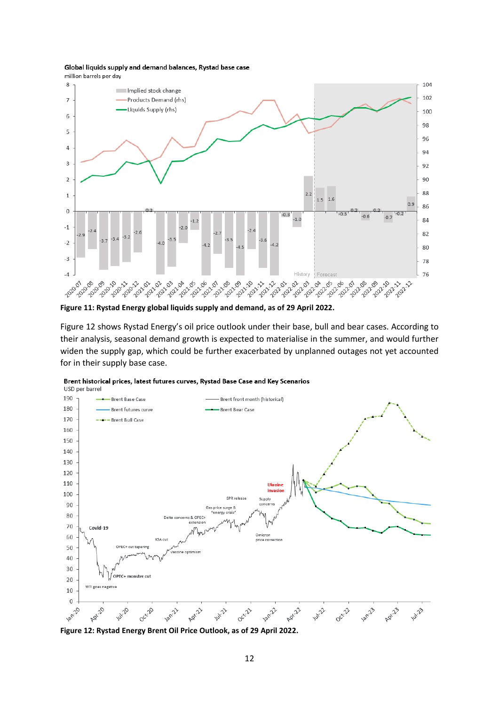#### Global liquids supply and demand balances, Rystad base case





<span id="page-11-0"></span>**Figure 11: Rystad Energy global liquids supply and demand, as of 29 April 2022.** 

[Figure 12](#page-11-1) shows Rystad Energy's oil price outlook under their base, bull and bear cases. According to their analysis, seasonal demand growth is expected to materialise in the summer, and would further widen the supply gap, which could be further exacerbated by unplanned outages not yet accounted for in their supply base case.



Brent historical prices, latest futures curves, Rystad Base Case and Key Scenarios

<span id="page-11-1"></span>**Figure 12: Rystad Energy Brent Oil Price Outlook, as of 29 April 2022.**